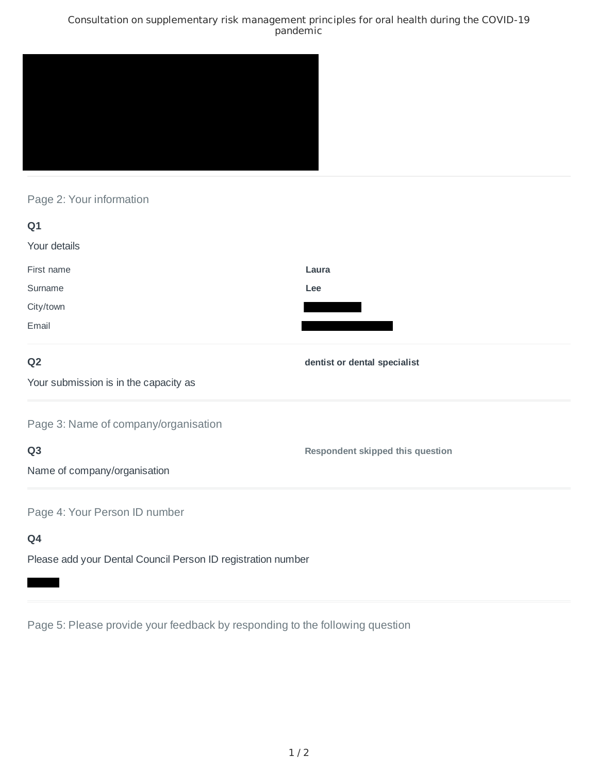### Consultation on supplementary risk management principles for oral health during the COVID-19 pandemic



# Page 2: Your information

| Q1                                    |                                         |
|---------------------------------------|-----------------------------------------|
| Your details                          |                                         |
| First name                            | Laura                                   |
| Surname                               | Lee                                     |
| City/town                             |                                         |
| Email                                 |                                         |
| Q <sub>2</sub>                        | dentist or dental specialist            |
| Your submission is in the capacity as |                                         |
| Page 3: Name of company/organisation  |                                         |
| Q <sub>3</sub>                        | <b>Respondent skipped this question</b> |
| Name of company/organisation          |                                         |
| Page 4: Your Person ID number         |                                         |
| Q4                                    |                                         |

Please add your Dental Council Person ID registration number

Page 5: Please provide your feedback by responding to the following question